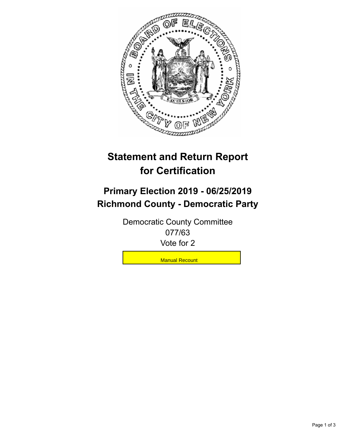

## **Statement and Return Report for Certification**

## **Primary Election 2019 - 06/25/2019 Richmond County - Democratic Party**

Democratic County Committee 077/63 Vote for 2

**Manual Recount**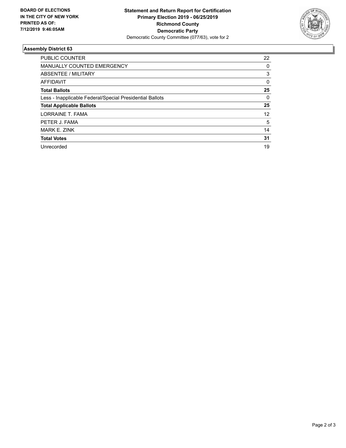

## **Assembly District 63**

| <b>PUBLIC COUNTER</b>                                    | 22 |
|----------------------------------------------------------|----|
| MANUALLY COUNTED EMERGENCY                               | 0  |
| ABSENTEE / MILITARY                                      | 3  |
| <b>AFFIDAVIT</b>                                         | 0  |
| <b>Total Ballots</b>                                     | 25 |
| Less - Inapplicable Federal/Special Presidential Ballots | 0  |
| <b>Total Applicable Ballots</b>                          | 25 |
| LORRAINE T. FAMA                                         | 12 |
| PETER J. FAMA                                            | 5  |
| MARK E. ZINK                                             | 14 |
| <b>Total Votes</b>                                       | 31 |
| Unrecorded                                               | 19 |